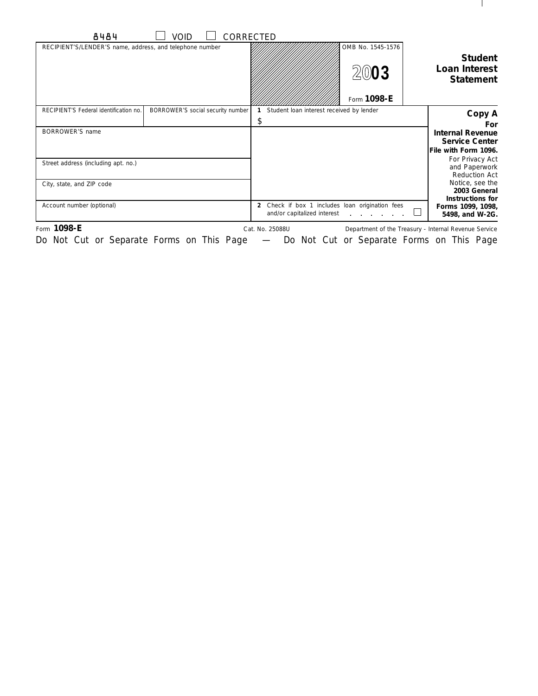| 8484                                                     | VOID                              | CORRECTED                                                                                      |                                          |                                                                                 |
|----------------------------------------------------------|-----------------------------------|------------------------------------------------------------------------------------------------|------------------------------------------|---------------------------------------------------------------------------------|
| RECIPIENT'S/LENDER'S name, address, and telephone number |                                   |                                                                                                | OMB No. 1545-1576<br>2003<br>Form 1098-E | <b>Student</b><br>Loan Interest<br><b>Statement</b>                             |
| RECIPIENT'S Federal identification no.                   | BORROWER'S social security number | Student loan interest received by lender                                                       |                                          | Copy A                                                                          |
| BORROWER'S name                                          |                                   | \$                                                                                             |                                          | For<br><b>Internal Revenue</b><br><b>Service Center</b><br>File with Form 1096. |
| Street address (including apt. no.)                      |                                   |                                                                                                |                                          | For Privacy Act<br>and Paperwork<br>Reduction Act                               |
| City, state, and ZIP code                                |                                   |                                                                                                |                                          | Notice, see the<br>2003 General<br>Instructions for                             |
| Account number (optional)                                |                                   | Check if box 1 includes loan origination fees<br>$\overline{2}$<br>and/or capitalized interest |                                          | Forms 1099, 1098,<br>5498, and W-2G.                                            |
| Form 1098-E                                              |                                   | Cat. No. 25088U                                                                                |                                          | Department of the Treasury - Internal Revenue Service                           |

 $\mathbf{I}$ 

Do Not Cut or Separate Forms on This Page — Do Not Cut or Separate Forms on This Page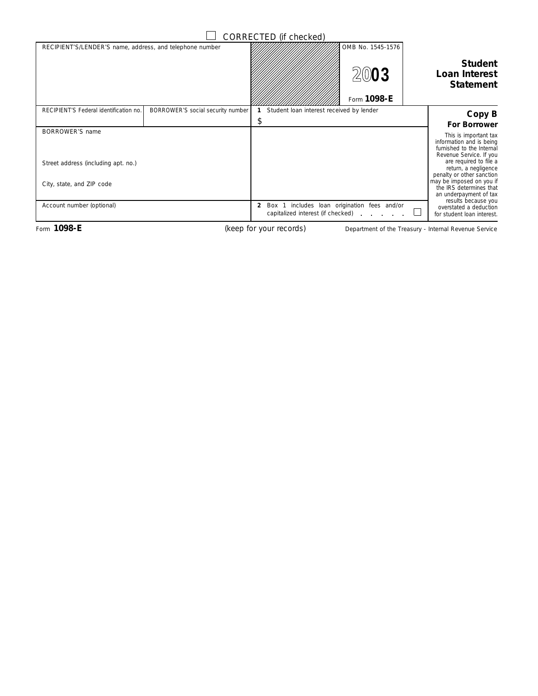|                                                                  |                                   | CORRECTED (if checked)                                                                           |                                          |                                                                                                                                                                                                                                                                           |
|------------------------------------------------------------------|-----------------------------------|--------------------------------------------------------------------------------------------------|------------------------------------------|---------------------------------------------------------------------------------------------------------------------------------------------------------------------------------------------------------------------------------------------------------------------------|
| RECIPIENT'S/LENDER'S name, address, and telephone number         |                                   |                                                                                                  | OMB No. 1545-1576<br>2003<br>Form 1098-E | <b>Student</b><br><b>Loan Interest</b><br><b>Statement</b>                                                                                                                                                                                                                |
| RECIPIENT'S Federal identification no.                           | BORROWER'S social security number | Student loan interest received by lender<br>\$                                                   |                                          | Copy B                                                                                                                                                                                                                                                                    |
| BORROWER'S name                                                  |                                   |                                                                                                  |                                          | <b>For Borrower</b>                                                                                                                                                                                                                                                       |
| Street address (including apt. no.)<br>City, state, and ZIP code |                                   |                                                                                                  |                                          | This is important tax<br>information and is being<br>furnished to the Internal<br>Revenue Service. If you<br>are required to file a<br>return, a negligence<br>penalty or other sanction<br>may be imposed on you if<br>the IRS determines that<br>an underpayment of tax |
| Account number (optional)                                        |                                   | Box 1 includes loan origination fees and/or<br>$\mathbf{2}$<br>capitalized interest (if checked) |                                          | results because you<br>overstated a deduction<br>for student loan interest.                                                                                                                                                                                               |

(keep for your records)

Form 1098-E **Department of the Treasury - Internal Revenue Service** (keep for your records) Department of the Treasury - Internal Revenue Service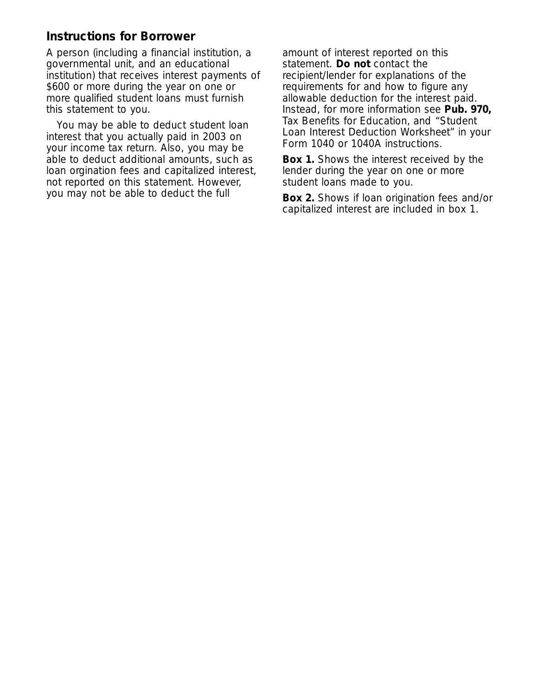## **Instructions for Borrower**

A person (including a financial institution, a governmental unit, and an educational institution) that receives interest payments of \$600 or more during the year on one or more qualified student loans must furnish this statement to you.

You may be able to deduct student loan interest that you actually paid in 2003 on your income tax return. Also, you may be able to deduct additional amounts, such as loan orgination fees and capitalized interest, not reported on this statement. However, you may not be able to deduct the full **Box 2.** Shows if loan origination fees and/or

amount of interest reported on this statement. **Do not** contact the recipient/lender for explanations of the requirements for and how to figure any allowable deduction for the interest paid. Instead, for more information see **Pub. 970,** Tax Benefits for Education, and "Student Loan Interest Deduction Worksheet" in your Form 1040 or 1040A instructions.

**Box 1.** Shows the interest received by the lender during the year on one or more student loans made to you.

capitalized interest are included in box 1.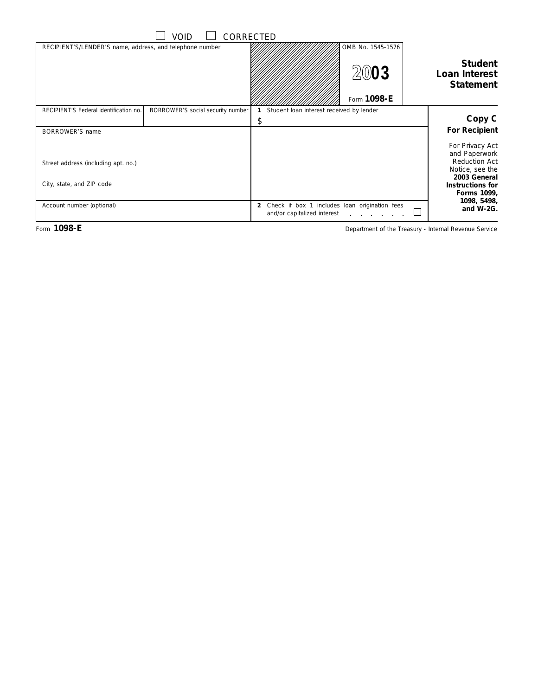|                                                          | Void                              | CORRECTED                                                                                      |                                          |                                                            |
|----------------------------------------------------------|-----------------------------------|------------------------------------------------------------------------------------------------|------------------------------------------|------------------------------------------------------------|
| RECIPIENT'S/LENDER'S name, address, and telephone number |                                   |                                                                                                | OMB No. 1545-1576<br>2003<br>Form 1098-E | <b>Student</b><br><b>Loan Interest</b><br><b>Statement</b> |
| RECIPIENT'S Federal identification no.                   | BORROWER'S social security number | Student loan interest received by lender                                                       |                                          |                                                            |
|                                                          |                                   | \$                                                                                             |                                          | Copy C                                                     |
| BORROWER'S name                                          |                                   |                                                                                                |                                          | <b>For Recipient</b>                                       |
|                                                          |                                   |                                                                                                |                                          | For Privacy Act                                            |
|                                                          |                                   |                                                                                                |                                          | and Paperwork<br><b>Reduction Act</b>                      |
| Street address (including apt. no.)                      |                                   |                                                                                                |                                          | Notice, see the                                            |
|                                                          |                                   |                                                                                                |                                          | 2003 General                                               |
| City, state, and ZIP code                                |                                   |                                                                                                |                                          | Instructions for                                           |
|                                                          |                                   |                                                                                                |                                          | Forms 1099,<br>1098, 5498,                                 |
| Account number (optional)                                |                                   | Check if box 1 includes loan origination fees<br>$\overline{2}$<br>and/or capitalized interest | and a straight and a straight            | and W-2G.                                                  |

Form 1098-E **Department of the Treasury - Internal Revenue Service** Department of the Treasury - Internal Revenue Service